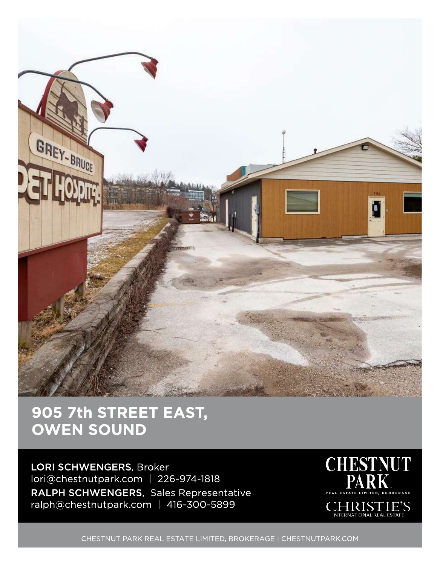

## 905 7th STREET EAST, OWEN SOUND

LORI SCHWENGERS, Broker lori@chestnutpark.com | 226-974-1818 RALPH SCHWENGERS, Sales Representative ralph@chestnutpark.com | 416-300-5899



CHESTNUT PARK REAL ESTATE LIMITED, BROKERAGE | CHESTNUTPARK.COM